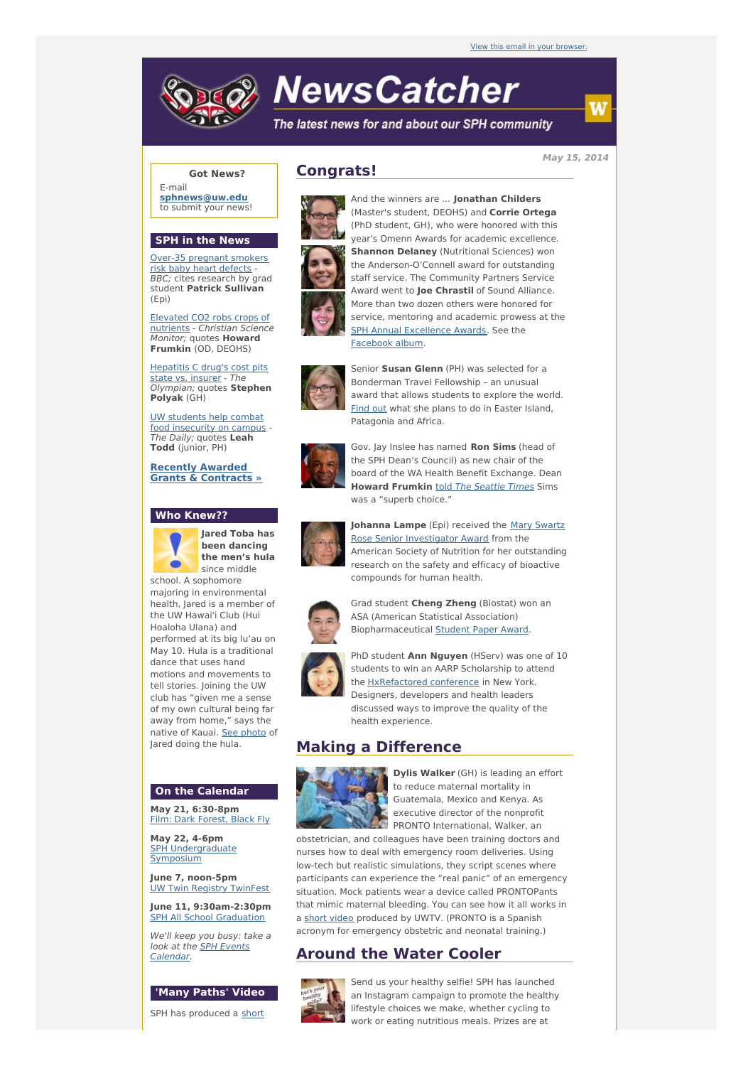# **NewsCatcher**

The latest news for and about our SPH community

**May 15, 2014**

## **Got News?**

E-mail **[sphnews@uw.edu](mailto:sphnews@uw.edu)** to submit your news!

#### **SPH in the News**

Over-35 [pregnant](http://engage.washington.edu/site/R?i=6NhXjS0_BDTm9I_NOHpbsQ) smokers risk baby heart defects - BBC; cites research by grad student **Patrick Sullivan** (Epi)

Elevated CO2 robs crops of [nutrients](http://engage.washington.edu/site/R?i=w4_rLHTxEcAdPhRPPt57Ow) - Christian Science Monitor; quotes **Howard Frumkin** (OD, DEOHS)

[Hepatitis](http://engage.washington.edu/site/R?i=EDDJvduleFkHAzCnuvEoiQ) C drug's cost pits state vs. insurer - The Olympian; quotes **Stephen Polyak** (GH)

UW students help combat food [insecurity](http://engage.washington.edu/site/R?i=18nhGkRz_FEvNYjqSaW0mg) on campus - The Daily; quotes **Leah Todd** (junior, PH)

**Recently Awarded Grants & [Contracts](http://engage.washington.edu/site/R?i=fsUxgKXGRqSvjQbFtTdUHQ) »**

#### **Who Knew??**



**Jared Toba has been dancing the men's hula** since middle

school. A sophomore majoring in environmental health, Jared is a member of the UW Hawai'i Club (Hui Hoaloha Ulana) and performed at its big lu'au on May 10. Hula is a traditional dance that uses hand motions and movements to tell stories. Joining the UW club has "given me a sense of my own cultural being far away from home," says the native of Kauai. See [photo](http://engage.washington.edu/site/R?i=EflqVgTcZ5ddJUIHmzSy2A) of Jared doing the hula.

#### **On the Calendar**

**May 21, 6:30-8pm** Film: Dark [Forest,](http://engage.washington.edu/site/R?i=Snlevg2I8pjE9L1-41rdKg) Black Fly

**May 22, 4-6pm** SPH [Undergraduate](http://engage.washington.edu/site/R?i=UtBpnuKEVusbb0rd6re0AQ) Symposium

**June 7, noon-5pm** UW Twin Registry [TwinFest](http://engage.washington.edu/site/R?i=XmhIdDG2lwU7PTOdNL_cvA)

**June 11, 9:30am-2:30pm** SPH All School [Graduation](http://engage.washington.edu/site/R?i=bXzKACW5s1Cl1Q9AdGrdow)

We'll keep you busy: take a look at the SPH Events [Calendar.](http://engage.washington.edu/site/R?i=udSLjQKvfTbMu7ob9niAgQ)

#### **'Many Paths' Video**

SPH has [produced](http://engage.washington.edu/site/R?i=2TonidH9PISgQQHI47XsGQ) a short

# **Congrats!**



And the winners are ... **Jonathan Childers** (Master's student, DEOHS) and **Corrie Ortega** (PhD student, GH), who were honored with this year's Omenn Awards for academic excellence. **Shannon Delaney** (Nutritional Sciences) won the Anderson-O'Connell award for outstanding staff service. The Community Partners Service Award went to **Joe Chrastil** of Sound Alliance. More than two dozen others were honored for service, mentoring and academic prowess at the SPH Annual [Excellence](http://engage.washington.edu/site/R?i=Dqe2IcVdHhpn3GaKdaMYTg) Awards. See the [Facebook](http://engage.washington.edu/site/R?i=m5e49xSanYgyBdahHZ7dOQ) album.



Senior **Susan Glenn** (PH) was selected for a Bonderman Travel Fellowship – an unusual award that allows students to explore the world. [Find](http://engage.washington.edu/site/R?i=MxgS6FPvaRaHnBhKyQdoew) out what she plans to do in Easter Island, Patagonia and Africa.



Gov. Jay Inslee has named **Ron Sims** (head of the SPH Dean's Council) as new chair of the board of the WA Health Benefit Exchange. Dean **Howard Frumkin** told The [Seattle](http://engage.washington.edu/site/R?i=5FK5szUnI5zk0AGia53clw) Times Sims was a "superb choice."



**Johanna Lampe** (Epi) received the Mary Swartz Rose Senior [Investigator](http://engage.washington.edu/site/R?i=8R5W8ymkkmRtN2p6trbXSw) Award from the American Society of Nutrition for her outstanding research on the safety and efficacy of bioactive compounds for human health.



Grad student **Cheng Zheng** (Biostat) won an ASA (American Statistical Association) Biopharmaceutical [Student](http://engage.washington.edu/site/R?i=I8wsIehY4XNC1I9mRTAwWw) Paper Award.



PhD student **Ann Nguyen** (HServ) was one of 10 students to win an AARP Scholarship to attend the **[HxRefactored](http://engage.washington.edu/site/R?i=6OAWZ13YvpV9ND5zvHZjKw) conference** in New York. Designers, developers and health leaders discussed ways to improve the quality of the health experience.

# **Making a Difference**



**Dylis Walker** (GH) is leading an effort to reduce maternal mortality in Guatemala, Mexico and Kenya. As executive director of the nonprofit PRONTO International, Walker, an

obstetrician, and colleagues have been training doctors and nurses how to deal with emergency room deliveries. Using low-tech but realistic simulations, they script scenes where participants can experience the "real panic" of an emergency situation. Mock patients wear a device called PRONTOPants that mimic maternal bleeding. You can see how it all works in a short [video](http://engage.washington.edu/site/R?i=15ktrz3AqiXrZRAq9NXqbg) produced by UWTV. (PRONTO is a Spanish acronym for emergency obstetric and neonatal training.)

## **Around the Water Cooler**



Send us your healthy selfie! SPH has launched an Instagram campaign to promote the healthy lifestyle choices we make, whether cycling to work or eating nutritious meals. Prizes are at